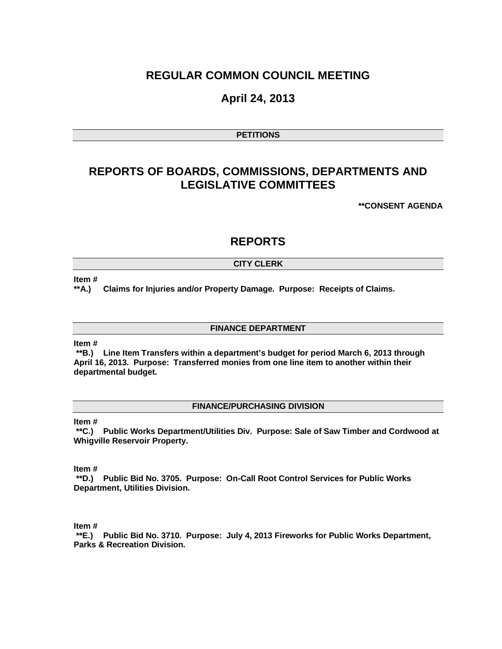# **REGULAR COMMON COUNCIL MEETING**

# **April 24, 2013**

# **PETITIONS**

# **REPORTS OF BOARDS, COMMISSIONS, DEPARTMENTS AND LEGISLATIVE COMMITTEES**

**\*\*CONSENT AGENDA**

# **REPORTS**

# **CITY CLERK**

#### **Item #**

**\*\*A.) Claims for Injuries and/or Property Damage. Purpose: Receipts of Claims.**

## **FINANCE DEPARTMENT**

### **Item #**

**\*\*B.) Line Item Transfers within a department's budget for period March 6, 2013 through April 16, 2013. Purpose: Transferred monies from one line item to another within their departmental budget.**

# **FINANCE/PURCHASING DIVISION**

#### **Item #**

**\*\*C.) Public Works Department/Utilities Div. Purpose: Sale of Saw Timber and Cordwood at Whigville Reservoir Property.**

**Item #**

**\*\*D.) Public Bid No. 3705. Purpose: On-Call Root Control Services for Public Works Department, Utilities Division.**

**Item #**

**\*\*E.) Public Bid No. 3710. Purpose: July 4, 2013 Fireworks for Public Works Department, Parks & Recreation Division.**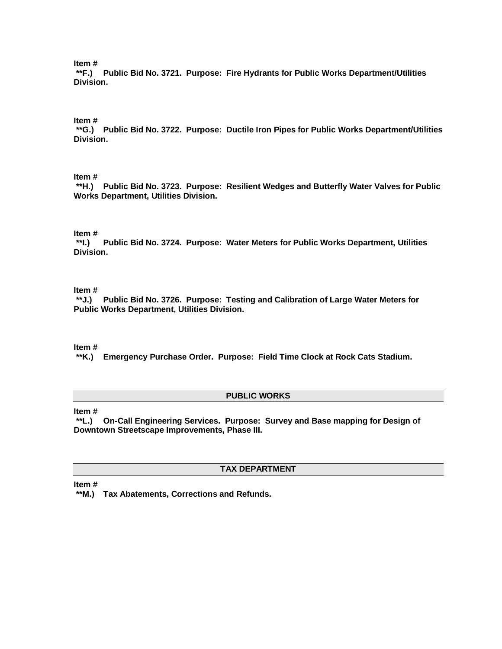**Item #**

**\*\*F.) Public Bid No. 3721. Purpose: Fire Hydrants for Public Works Department/Utilities Division.**

### **Item #**

**\*\*G.) Public Bid No. 3722. Purpose: Ductile Iron Pipes for Public Works Department/Utilities Division.**

# **Item #**

**\*\*H.) Public Bid No. 3723. Purpose: Resilient Wedges and Butterfly Water Valves for Public Works Department, Utilities Division.**

# **Item #**

Public Bid No. 3724. Purpose: Water Meters for Public Works Department, Utilities **Division.**

#### **Item #**

**\*\*J.) Public Bid No. 3726. Purpose: Testing and Calibration of Large Water Meters for Public Works Department, Utilities Division.**

**Item #**

**\*\*K.) Emergency Purchase Order. Purpose: Field Time Clock at Rock Cats Stadium.**

#### **PUBLIC WORKS**

**Item #**

**\*\*L.) On-Call Engineering Services. Purpose: Survey and Base mapping for Design of Downtown Streetscape Improvements, Phase III.**

# **TAX DEPARTMENT**

**Item #**

**\*\*M.) Tax Abatements, Corrections and Refunds.**